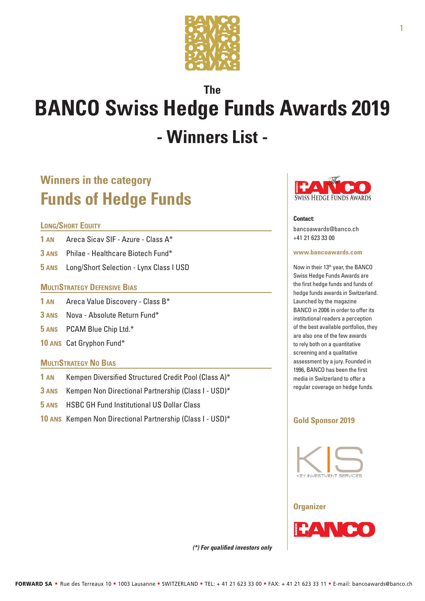

# **The BANCO Swiss Hedge Funds Awards 2019 - Winners List -**

# **Winners in the category Funds of Hedge Funds**

### **Long/Short Equity**

- **1 an** Areca Sicav SIF Azure Class A\*
- **3 ans** Philae Healthcare Biotech Fund\*
- **5 ans** Long/Short Selection Lynx Class I USD

## **MULTISTRATEGY DEFENSIVE BIAS**

- **1 an** Areca Value Discovery Class B\*
- **3 ans** Nova Absolute Return Fund\*
- **5 ans** PCAM Blue Chip Ltd.\*
- **10 ans** Cat Gryphon Fund\*

## **MultiStrategy No Bias**

- **1 an** Kempen Diversified Structured Credit Pool (Class A)\*
- **3 ans** Kempen Non Directional Partnership (Class I USD)\*
- **5 ans** HSBC GH Fund Institutional US Dollar Class
- **10 ans** Kempen Non Directional Partnership (Class I USD)\*



#### **Contact:**

bancoawards@banco.ch +41 21 623 33 00

#### **www.bancoawards.com**

Now in their 13<sup>th</sup> year, the BANCO Swiss Hedge Funds Awards are the first hedge funds and funds of hedge funds awards in Switzerland. Launched by the magazine BANCO in 2006 in order to offer its institutional readers a perception of the best available portfolios, they are also one of the few awards to rely both on a quantitative screening and a qualitative assessment by a jury. Founded in 1996, BANCO has been the first media in Switzerland to offer a regular coverage on hedge funds.

# **Gold Sponsor 2019**



#### **Organizer**



1

*(\*) For qualified investors only*